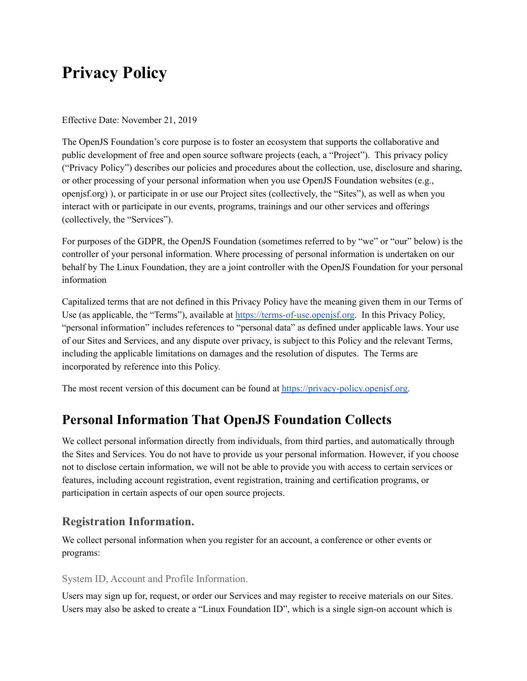# **Privacy Policy**

Effective Date: November 21, 2019

The OpenJS Foundation's core purpose is to foster an ecosystem that supports the collaborative and public development of free and open source software projects (each, a "Project"). This privacy policy ("Privacy Policy") describes our policies and procedures about the collection, use, disclosure and sharing, or other processing of your personal information when you use OpenJS Foundation websites (e.g., openjsf.org) ), or participate in or use our Project sites (collectively, the "Sites"), as well as when you interact with or participate in our events, programs, trainings and our other services and offerings (collectively, the "Services").

For purposes of the GDPR, the OpenJS Foundation (sometimes referred to by "we" or "our" below) is the controller of your personal information. Where processing of personal information is undertaken on our behalf by The Linux Foundation, they are a joint controller with the OpenJS Foundation for your personal information

Capitalized terms that are not defined in this Privacy Policy have the meaning given them in our Terms of Use (as applicable, the "Terms"), available at [https://terms-of-use.openjsf.org.](https://terms-of-use.openjsf.org) In this Privacy Policy, "personal information" includes references to "personal data" as defined under applicable laws. Your use of our Sites and Services, and any dispute over privacy, is subject to this Policy and the relevant Terms, including the applicable limitations on damages and the resolution of disputes. The Terms are incorporated by reference into this Policy.

The most recent version of this document can be found at [https://privacy-policy.openjsf.org.](https://privacy-policy.openjsf.org)

## **Personal Information That OpenJS Foundation Collects**

We collect personal information directly from individuals, from third parties, and automatically through the Sites and Services. You do not have to provide us your personal information. However, if you choose not to disclose certain information, we will not be able to provide you with access to certain services or features, including account registration, event registration, training and certification programs, or participation in certain aspects of our open source projects.

## **Registration Information.**

We collect personal information when you register for an account, a conference or other events or programs:

#### System ID, Account and Profile Information.

Users may sign up for, request, or order our Services and may register to receive materials on our Sites. Users may also be asked to create a "Linux Foundation ID", which is a single sign-on account which is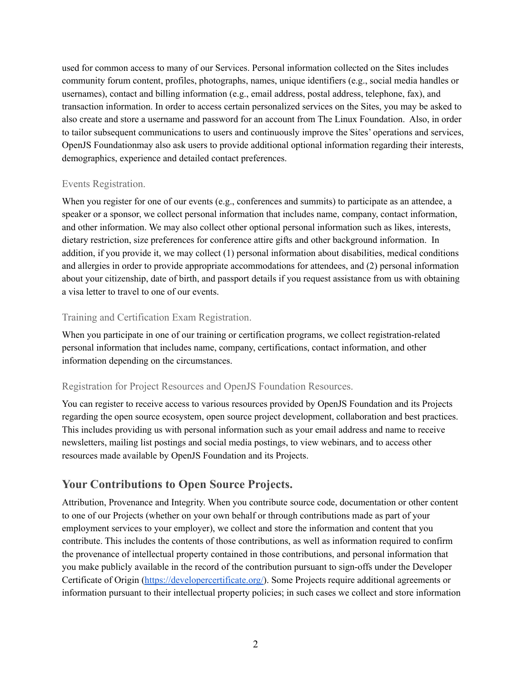used for common access to many of our Services. Personal information collected on the Sites includes community forum content, profiles, photographs, names, unique identifiers (e.g., social media handles or usernames), contact and billing information (e.g., email address, postal address, telephone, fax), and transaction information. In order to access certain personalized services on the Sites, you may be asked to also create and store a username and password for an account from The Linux Foundation. Also, in order to tailor subsequent communications to users and continuously improve the Sites' operations and services, OpenJS Foundationmay also ask users to provide additional optional information regarding their interests, demographics, experience and detailed contact preferences.

### Events Registration.

When you register for one of our events (e.g., conferences and summits) to participate as an attendee, a speaker or a sponsor, we collect personal information that includes name, company, contact information, and other information. We may also collect other optional personal information such as likes, interests, dietary restriction, size preferences for conference attire gifts and other background information. In addition, if you provide it, we may collect (1) personal information about disabilities, medical conditions and allergies in order to provide appropriate accommodations for attendees, and (2) personal information about your citizenship, date of birth, and passport details if you request assistance from us with obtaining a visa letter to travel to one of our events.

### Training and Certification Exam Registration.

When you participate in one of our training or certification programs, we collect registration-related personal information that includes name, company, certifications, contact information, and other information depending on the circumstances.

### Registration for Project Resources and OpenJS Foundation Resources.

You can register to receive access to various resources provided by OpenJS Foundation and its Projects regarding the open source ecosystem, open source project development, collaboration and best practices. This includes providing us with personal information such as your email address and name to receive newsletters, mailing list postings and social media postings, to view webinars, and to access other resources made available by OpenJS Foundation and its Projects.

## **Your Contributions to Open Source Projects.**

Attribution, Provenance and Integrity. When you contribute source code, documentation or other content to one of our Projects (whether on your own behalf or through contributions made as part of your employment services to your employer), we collect and store the information and content that you contribute. This includes the contents of those contributions, as well as information required to confirm the provenance of intellectual property contained in those contributions, and personal information that you make publicly available in the record of the contribution pursuant to sign-offs under the Developer Certificate of Origin [\(https://developercertificate.org/](https://developercertificate.org/)). Some Projects require additional agreements or information pursuant to their intellectual property policies; in such cases we collect and store information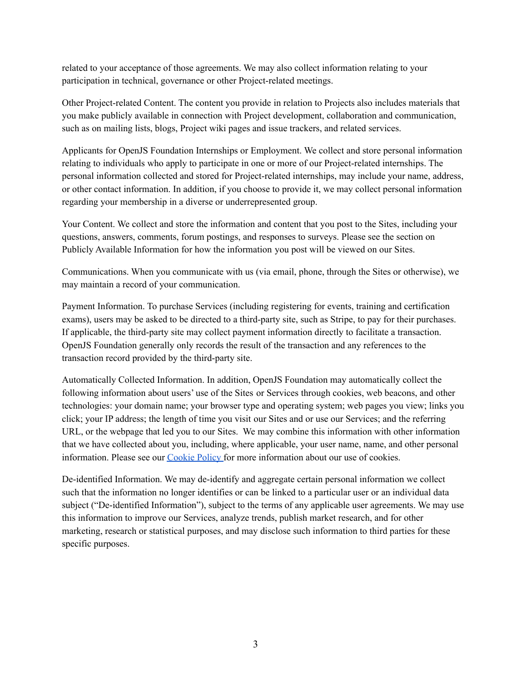related to your acceptance of those agreements. We may also collect information relating to your participation in technical, governance or other Project-related meetings.

Other Project-related Content. The content you provide in relation to Projects also includes materials that you make publicly available in connection with Project development, collaboration and communication, such as on mailing lists, blogs, Project wiki pages and issue trackers, and related services.

Applicants for OpenJS Foundation Internships or Employment. We collect and store personal information relating to individuals who apply to participate in one or more of our Project-related internships. The personal information collected and stored for Project-related internships, may include your name, address, or other contact information. In addition, if you choose to provide it, we may collect personal information regarding your membership in a diverse or underrepresented group.

Your Content. We collect and store the information and content that you post to the Sites, including your questions, answers, comments, forum postings, and responses to surveys. Please see the section on Publicly Available Information for how the information you post will be viewed on our Sites.

Communications. When you communicate with us (via email, phone, through the Sites or otherwise), we may maintain a record of your communication.

Payment Information. To purchase Services (including registering for events, training and certification exams), users may be asked to be directed to a third-party site, such as Stripe, to pay for their purchases. If applicable, the third-party site may collect payment information directly to facilitate a transaction. OpenJS Foundation generally only records the result of the transaction and any references to the transaction record provided by the third-party site.

Automatically Collected Information. In addition, OpenJS Foundation may automatically collect the following information about users' use of the Sites or Services through cookies, web beacons, and other technologies: your domain name; your browser type and operating system; web pages you view; links you click; your IP address; the length of time you visit our Sites and or use our Services; and the referring URL, or the webpage that led you to our Sites. We may combine this information with other information that we have collected about you, including, where applicable, your user name, name, and other personal information. Please see our [Cookie](https://www.linuxfoundation.org/cookies/) Policy for more information about our use of cookies.

De-identified Information. We may de-identify and aggregate certain personal information we collect such that the information no longer identifies or can be linked to a particular user or an individual data subject ("De-identified Information"), subject to the terms of any applicable user agreements. We may use this information to improve our Services, analyze trends, publish market research, and for other marketing, research or statistical purposes, and may disclose such information to third parties for these specific purposes.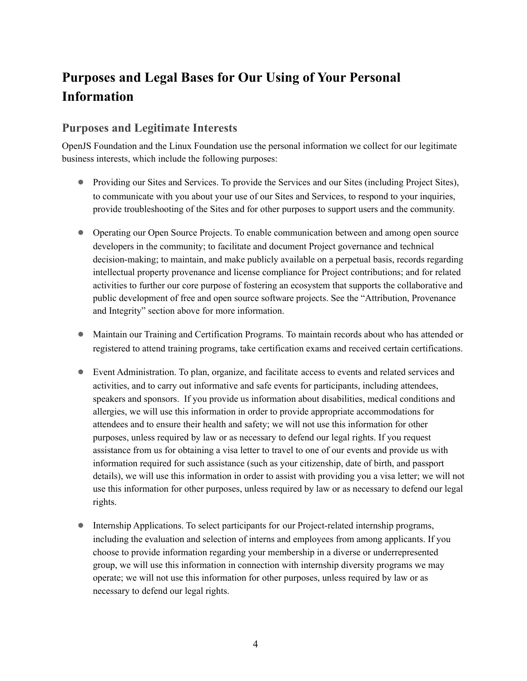# **Purposes and Legal Bases for Our Using of Your Personal Information**

### **Purposes and Legitimate Interests**

OpenJS Foundation and the Linux Foundation use the personal information we collect for our legitimate business interests, which include the following purposes:

- Providing our Sites and Services. To provide the Services and our Sites (including Project Sites), to communicate with you about your use of our Sites and Services, to respond to your inquiries, provide troubleshooting of the Sites and for other purposes to support users and the community.
- Operating our Open Source Projects. To enable communication between and among open source developers in the community; to facilitate and document Project governance and technical decision-making; to maintain, and make publicly available on a perpetual basis, records regarding intellectual property provenance and license compliance for Project contributions; and for related activities to further our core purpose of fostering an ecosystem that supports the collaborative and public development of free and open source software projects. See the "Attribution, Provenance and Integrity" section above for more information.
- Maintain our Training and Certification Programs. To maintain records about who has attended or registered to attend training programs, take certification exams and received certain certifications.
- Event Administration. To plan, organize, and facilitate access to events and related services and activities, and to carry out informative and safe events for participants, including attendees, speakers and sponsors. If you provide us information about disabilities, medical conditions and allergies, we will use this information in order to provide appropriate accommodations for attendees and to ensure their health and safety; we will not use this information for other purposes, unless required by law or as necessary to defend our legal rights. If you request assistance from us for obtaining a visa letter to travel to one of our events and provide us with information required for such assistance (such as your citizenship, date of birth, and passport details), we will use this information in order to assist with providing you a visa letter; we will not use this information for other purposes, unless required by law or as necessary to defend our legal rights.
- Internship Applications. To select participants for our Project-related internship programs, including the evaluation and selection of interns and employees from among applicants. If you choose to provide information regarding your membership in a diverse or underrepresented group, we will use this information in connection with internship diversity programs we may operate; we will not use this information for other purposes, unless required by law or as necessary to defend our legal rights.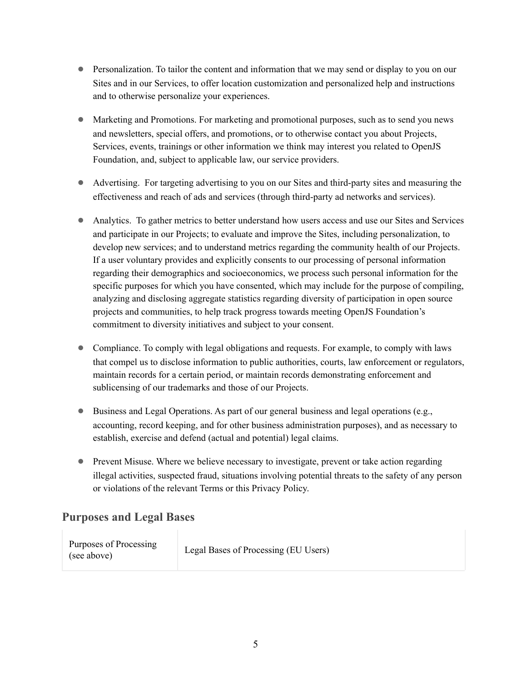- Personalization. To tailor the content and information that we may send or display to you on our Sites and in our Services, to offer location customization and personalized help and instructions and to otherwise personalize your experiences.
- Marketing and Promotions. For marketing and promotional purposes, such as to send you news and newsletters, special offers, and promotions, or to otherwise contact you about Projects, Services, events, trainings or other information we think may interest you related to OpenJS Foundation, and, subject to applicable law, our service providers.
- Advertising. For targeting advertising to you on our Sites and third-party sites and measuring the effectiveness and reach of ads and services (through third-party ad networks and services).
- Analytics. To gather metrics to better understand how users access and use our Sites and Services and participate in our Projects; to evaluate and improve the Sites, including personalization, to develop new services; and to understand metrics regarding the community health of our Projects. If a user voluntary provides and explicitly consents to our processing of personal information regarding their demographics and socioeconomics, we process such personal information for the specific purposes for which you have consented, which may include for the purpose of compiling, analyzing and disclosing aggregate statistics regarding diversity of participation in open source projects and communities, to help track progress towards meeting OpenJS Foundation's commitment to diversity initiatives and subject to your consent.
- Compliance. To comply with legal obligations and requests. For example, to comply with laws that compel us to disclose information to public authorities, courts, law enforcement or regulators, maintain records for a certain period, or maintain records demonstrating enforcement and sublicensing of our trademarks and those of our Projects.
- Business and Legal Operations. As part of our general business and legal operations (e.g., accounting, record keeping, and for other business administration purposes), and as necessary to establish, exercise and defend (actual and potential) legal claims.
- Prevent Misuse. Where we believe necessary to investigate, prevent or take action regarding illegal activities, suspected fraud, situations involving potential threats to the safety of any person or violations of the relevant Terms or this Privacy Policy.

## **Purposes and Legal Bases**

| Purposes of Processing<br>(see above) | Legal Bases of Processing (EU Users) |
|---------------------------------------|--------------------------------------|
|---------------------------------------|--------------------------------------|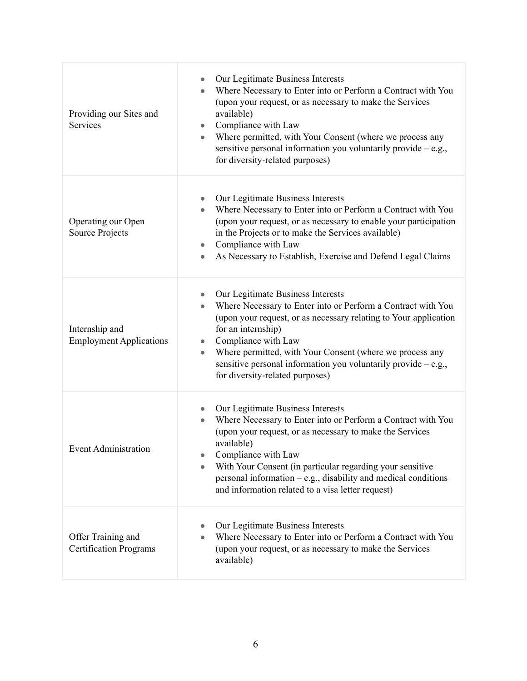| Providing our Sites and<br>Services                 | Our Legitimate Business Interests<br>Where Necessary to Enter into or Perform a Contract with You<br>$\bullet$<br>(upon your request, or as necessary to make the Services<br>available)<br>Compliance with Law<br>$\bullet$<br>Where permitted, with Your Consent (where we process any<br>$\bullet$<br>sensitive personal information you voluntarily provide $-$ e.g.,<br>for diversity-related purposes)                             |
|-----------------------------------------------------|------------------------------------------------------------------------------------------------------------------------------------------------------------------------------------------------------------------------------------------------------------------------------------------------------------------------------------------------------------------------------------------------------------------------------------------|
| Operating our Open<br>Source Projects               | Our Legitimate Business Interests<br>$\bullet$<br>Where Necessary to Enter into or Perform a Contract with You<br>$\bullet$<br>(upon your request, or as necessary to enable your participation<br>in the Projects or to make the Services available)<br>Compliance with Law<br>$\bullet$<br>As Necessary to Establish, Exercise and Defend Legal Claims<br>$\bullet$                                                                    |
| Internship and<br><b>Employment Applications</b>    | Our Legitimate Business Interests<br>$\bullet$<br>Where Necessary to Enter into or Perform a Contract with You<br>$\bullet$<br>(upon your request, or as necessary relating to Your application<br>for an internship)<br>Compliance with Law<br>$\bullet$<br>Where permitted, with Your Consent (where we process any<br>$\bullet$<br>sensitive personal information you voluntarily provide $-e.g.,$<br>for diversity-related purposes) |
| <b>Event Administration</b>                         | Our Legitimate Business Interests<br>$\bullet$<br>Where Necessary to Enter into or Perform a Contract with You<br>$\bullet$<br>(upon your request, or as necessary to make the Services<br>available)<br>Compliance with Law<br>With Your Consent (in particular regarding your sensitive<br>personal information $-e.g.,$ disability and medical conditions<br>and information related to a visa letter request)                        |
| Offer Training and<br><b>Certification Programs</b> | Our Legitimate Business Interests<br>Where Necessary to Enter into or Perform a Contract with You<br>$\bullet$<br>(upon your request, or as necessary to make the Services<br>available)                                                                                                                                                                                                                                                 |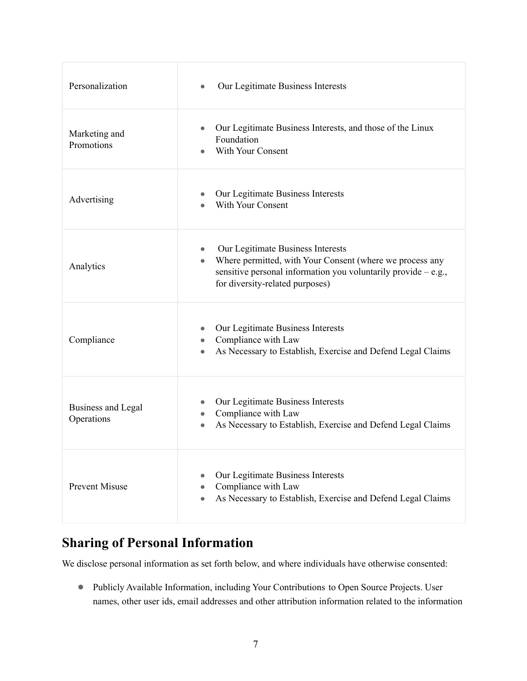| Personalization                         | Our Legitimate Business Interests                                                                                                                                                                                             |
|-----------------------------------------|-------------------------------------------------------------------------------------------------------------------------------------------------------------------------------------------------------------------------------|
| Marketing and<br>Promotions             | Our Legitimate Business Interests, and those of the Linux<br>$\bullet$<br>Foundation<br><b>With Your Consent</b>                                                                                                              |
| Advertising                             | Our Legitimate Business Interests<br>With Your Consent                                                                                                                                                                        |
| Analytics                               | Our Legitimate Business Interests<br>$\bullet$<br>Where permitted, with Your Consent (where we process any<br>$\bullet$<br>sensitive personal information you voluntarily provide $-e.g.,$<br>for diversity-related purposes) |
| Compliance                              | Our Legitimate Business Interests<br>Compliance with Law<br>$\bullet$<br>As Necessary to Establish, Exercise and Defend Legal Claims                                                                                          |
| <b>Business and Legal</b><br>Operations | Our Legitimate Business Interests<br>Compliance with Law<br>$\bullet$<br>As Necessary to Establish, Exercise and Defend Legal Claims<br>$\bullet$                                                                             |
| <b>Prevent Misuse</b>                   | Our Legitimate Business Interests<br>Compliance with Law<br>As Necessary to Establish, Exercise and Defend Legal Claims                                                                                                       |

## **Sharing of Personal Information**

We disclose personal information as set forth below, and where individuals have otherwise consented:

● Publicly Available Information, including Your Contributions to Open Source Projects. User names, other user ids, email addresses and other attribution information related to the information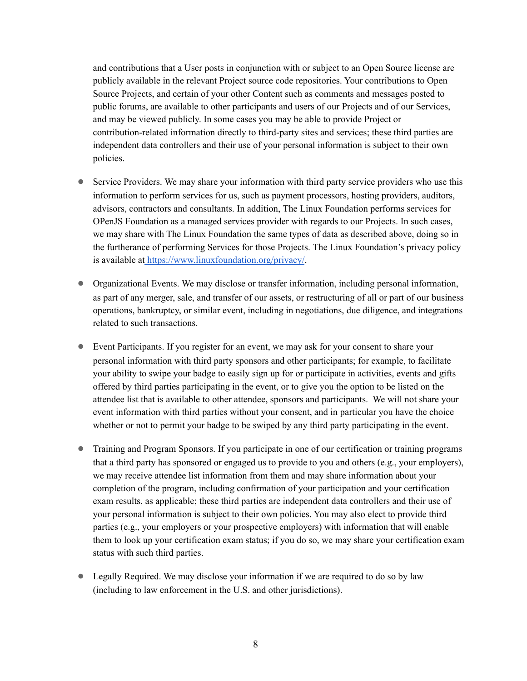and contributions that a User posts in conjunction with or subject to an Open Source license are publicly available in the relevant Project source code repositories. Your contributions to Open Source Projects, and certain of your other Content such as comments and messages posted to public forums, are available to other participants and users of our Projects and of our Services, and may be viewed publicly. In some cases you may be able to provide Project or contribution-related information directly to third-party sites and services; these third parties are independent data controllers and their use of your personal information is subject to their own policies.

- Service Providers. We may share your information with third party service providers who use this information to perform services for us, such as payment processors, hosting providers, auditors, advisors, contractors and consultants. In addition, The Linux Foundation performs services for OPenJS Foundation as a managed services provider with regards to our Projects. In such cases, we may share with The Linux Foundation the same types of data as described above, doing so in the furtherance of performing Services for those Projects. The Linux Foundation's privacy policy is available at <https://www.linuxfoundation.org/privacy/>.
- Organizational Events. We may disclose or transfer information, including personal information, as part of any merger, sale, and transfer of our assets, or restructuring of all or part of our business operations, bankruptcy, or similar event, including in negotiations, due diligence, and integrations related to such transactions.
- Event Participants. If you register for an event, we may ask for your consent to share your personal information with third party sponsors and other participants; for example, to facilitate your ability to swipe your badge to easily sign up for or participate in activities, events and gifts offered by third parties participating in the event, or to give you the option to be listed on the attendee list that is available to other attendee, sponsors and participants. We will not share your event information with third parties without your consent, and in particular you have the choice whether or not to permit your badge to be swiped by any third party participating in the event.
- Training and Program Sponsors. If you participate in one of our certification or training programs that a third party has sponsored or engaged us to provide to you and others (e.g., your employers), we may receive attendee list information from them and may share information about your completion of the program, including confirmation of your participation and your certification exam results, as applicable; these third parties are independent data controllers and their use of your personal information is subject to their own policies. You may also elect to provide third parties (e.g., your employers or your prospective employers) with information that will enable them to look up your certification exam status; if you do so, we may share your certification exam status with such third parties.
- Legally Required. We may disclose your information if we are required to do so by law (including to law enforcement in the U.S. and other jurisdictions).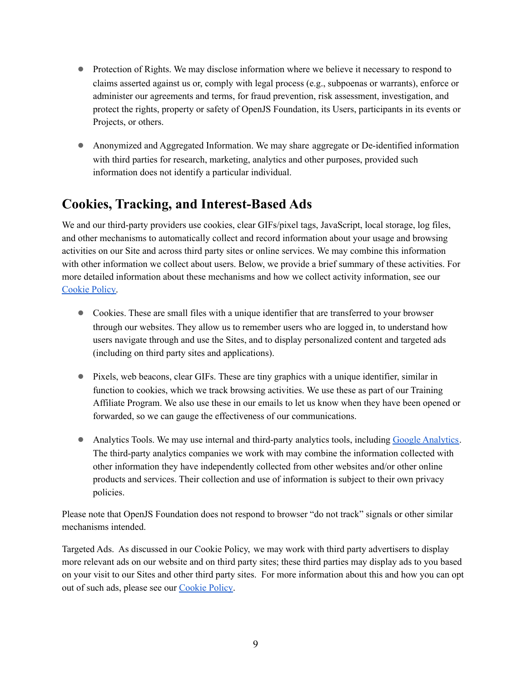- Protection of Rights. We may disclose information where we believe it necessary to respond to claims asserted against us or, comply with legal process (e.g., subpoenas or warrants), enforce or administer our agreements and terms, for fraud prevention, risk assessment, investigation, and protect the rights, property or safety of OpenJS Foundation, its Users, participants in its events or Projects, or others.
- Anonymized and Aggregated Information. We may share aggregate or De-identified information with third parties for research, marketing, analytics and other purposes, provided such information does not identify a particular individual.

## **Cookies, Tracking, and Interest-Based Ads**

We and our third-party providers use cookies, clear GIFs/pixel tags, JavaScript, local storage, log files, and other mechanisms to automatically collect and record information about your usage and browsing activities on our Site and across third party sites or online services. We may combine this information with other information we collect about users. Below, we provide a brief summary of these activities. For more detailed information about these mechanisms and how we collect activity information, see our [Cookie](https://www.linuxfoundation.org/cookies/) Policy.

- Cookies. These are small files with a unique identifier that are transferred to your browser through our websites. They allow us to remember users who are logged in, to understand how users navigate through and use the Sites, and to display personalized content and targeted ads (including on third party sites and applications).
- Pixels, web beacons, clear GIFs. These are tiny graphics with a unique identifier, similar in function to cookies, which we track browsing activities. We use these as part of our Training Affiliate Program. We also use these in our emails to let us know when they have been opened or forwarded, so we can gauge the effectiveness of our communications.
- Analytics Tools. We may use internal and third-party analytics tools, including Google [Analytics.](https://support.google.com/analytics/answer/6004245?hl=en) The third-party analytics companies we work with may combine the information collected with other information they have independently collected from other websites and/or other online products and services. Their collection and use of information is subject to their own privacy policies.

Please note that OpenJS Foundation does not respond to browser "do not track" signals or other similar mechanisms intended.

Targeted Ads. As discussed in our Cookie Policy, we may work with third party advertisers to display more relevant ads on our website and on third party sites; these third parties may display ads to you based on your visit to our Sites and other third party sites. For more information about this and how you can opt out of such ads, please see our [Cookie](https://www.linuxfoundation.org/cookies/) Policy.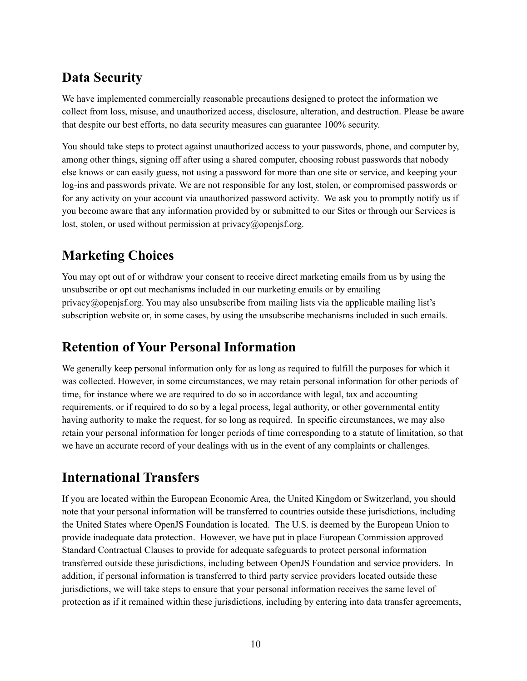## **Data Security**

We have implemented commercially reasonable precautions designed to protect the information we collect from loss, misuse, and unauthorized access, disclosure, alteration, and destruction. Please be aware that despite our best efforts, no data security measures can guarantee 100% security.

You should take steps to protect against unauthorized access to your passwords, phone, and computer by, among other things, signing off after using a shared computer, choosing robust passwords that nobody else knows or can easily guess, not using a password for more than one site or service, and keeping your log-ins and passwords private. We are not responsible for any lost, stolen, or compromised passwords or for any activity on your account via unauthorized password activity. We ask you to promptly notify us if you become aware that any information provided by or submitted to our Sites or through our Services is lost, stolen, or used without permission at privacy@openjsf.org.

## **Marketing Choices**

You may opt out of or withdraw your consent to receive direct marketing emails from us by using the unsubscribe or opt out mechanisms included in our marketing emails or by emailing privacy@openjsf.org. You may also unsubscribe from mailing lists via the applicable mailing list's subscription website or, in some cases, by using the unsubscribe mechanisms included in such emails.

## **Retention of Your Personal Information**

We generally keep personal information only for as long as required to fulfill the purposes for which it was collected. However, in some circumstances, we may retain personal information for other periods of time, for instance where we are required to do so in accordance with legal, tax and accounting requirements, or if required to do so by a legal process, legal authority, or other governmental entity having authority to make the request, for so long as required. In specific circumstances, we may also retain your personal information for longer periods of time corresponding to a statute of limitation, so that we have an accurate record of your dealings with us in the event of any complaints or challenges.

# **International Transfers**

If you are located within the European Economic Area, the United Kingdom or Switzerland, you should note that your personal information will be transferred to countries outside these jurisdictions, including the United States where OpenJS Foundation is located. The U.S. is deemed by the European Union to provide inadequate data protection. However, we have put in place European Commission approved Standard Contractual Clauses to provide for adequate safeguards to protect personal information transferred outside these jurisdictions, including between OpenJS Foundation and service providers. In addition, if personal information is transferred to third party service providers located outside these jurisdictions, we will take steps to ensure that your personal information receives the same level of protection as if it remained within these jurisdictions, including by entering into data transfer agreements,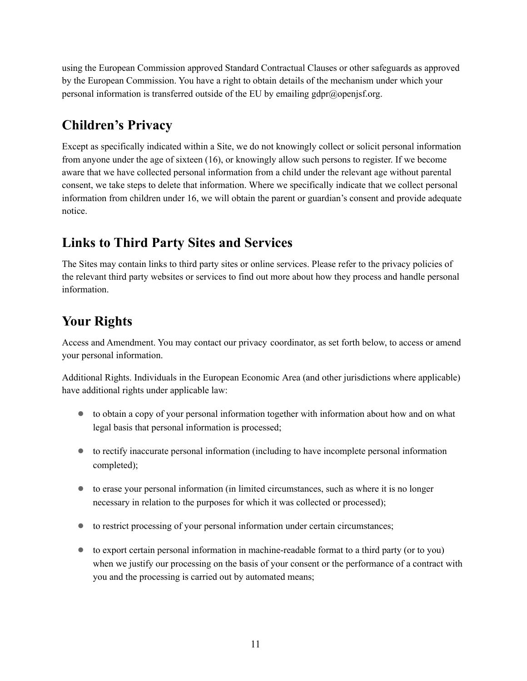using the European Commission approved Standard Contractual Clauses or other safeguards as approved by the European Commission. You have a right to obtain details of the mechanism under which your personal information is transferred outside of the EU by emailing gdpr@openjsf.org.

# **Children's Privacy**

Except as specifically indicated within a Site, we do not knowingly collect or solicit personal information from anyone under the age of sixteen (16), or knowingly allow such persons to register. If we become aware that we have collected personal information from a child under the relevant age without parental consent, we take steps to delete that information. Where we specifically indicate that we collect personal information from children under 16, we will obtain the parent or guardian's consent and provide adequate notice.

# **Links to Third Party Sites and Services**

The Sites may contain links to third party sites or online services. Please refer to the privacy policies of the relevant third party websites or services to find out more about how they process and handle personal information.

# **Your Rights**

Access and Amendment. You may contact our privacy coordinator, as set forth below, to access or amend your personal information.

Additional Rights. Individuals in the European Economic Area (and other jurisdictions where applicable) have additional rights under applicable law:

- to obtain a copy of your personal information together with information about how and on what legal basis that personal information is processed;
- to rectify inaccurate personal information (including to have incomplete personal information completed);
- to erase your personal information (in limited circumstances, such as where it is no longer necessary in relation to the purposes for which it was collected or processed);
- to restrict processing of your personal information under certain circumstances;
- to export certain personal information in machine-readable format to a third party (or to you) when we justify our processing on the basis of your consent or the performance of a contract with you and the processing is carried out by automated means;